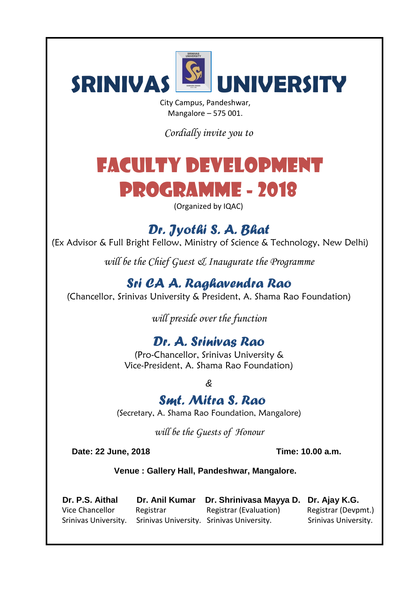

City Campus, Pandeshwar, Mangalore – 575 001.

*Cordially invite you to*

# FACULTY DEVELOPMENT PROGRAMME - 2018

(Organized by IQAC)

*Dr. Jyothi S. A. Bhat*

(Ex Advisor & Full Bright Fellow, Ministry of Science & Technology, New Delhi)

*will be the Chief Guest & Inaugurate the Programme*

*Sri CA A. Raghavendra Rao*

(Chancellor, Srinivas University & President, A. Shama Rao Foundation)

*will preside over the function*

## *Dr. A. Srinivas Rao*

(Pro-Chancellor, Srinivas University & Vice-President, A. Shama Rao Foundation)

*&*

### *Smt. Mitra S. Rao*

(Secretary, A. Shama Rao Foundation, Mangalore)

*will be the Guests of Honour*

**Date: 22 June, 2018 Time: 10.00 a.m.**

**Venue : Gallery Hall, Pandeshwar, Mangalore.**

| Dr. P.S. Aithal                                                | Dr. Anil Kumar | Dr. Shrinivasa Mayya D. Dr. Ajay K.G. |                      |
|----------------------------------------------------------------|----------------|---------------------------------------|----------------------|
| Vice Chancellor                                                | Registrar      | Registrar (Evaluation)                | Registrar (Devpmt.)  |
| Srinivas University. Srinivas University. Srinivas University. |                |                                       | Srinivas University. |